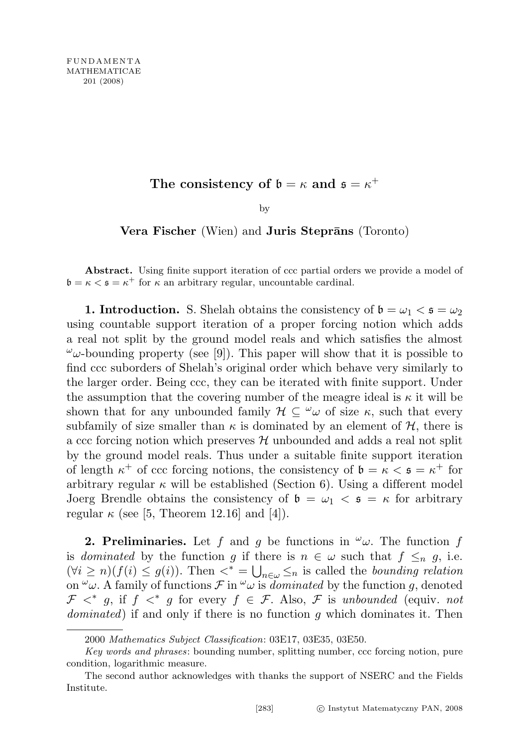## The consistency of  $\mathfrak{b} = \kappa$  and  $\mathfrak{s} = \kappa^+$

by

Vera Fischer (Wien) and Juris Steprāns (Toronto)

Abstract. Using finite support iteration of ccc partial orders we provide a model of  $\mathfrak{b} = \kappa < \mathfrak{s} = \kappa^+$  for  $\kappa$  an arbitrary regular, uncountable cardinal.

**1. Introduction.** S. Shelah obtains the consistency of  $\mathfrak{b} = \omega_1 < \mathfrak{s} = \omega_2$ using countable support iteration of a proper forcing notion which adds a real not split by the ground model reals and which satisfies the almost  $\omega_{\omega}$ -bounding property (see [9]). This paper will show that it is possible to find ccc suborders of Shelah's original order which behave very similarly to the larger order. Being ccc, they can be iterated with finite support. Under the assumption that the covering number of the meagre ideal is  $\kappa$  it will be shown that for any unbounded family  $\mathcal{H} \subseteq {}^{\omega}\omega$  of size  $\kappa$ , such that every subfamily of size smaller than  $\kappa$  is dominated by an element of  $\mathcal{H}$ , there is a ccc forcing notion which preserves  $H$  unbounded and adds a real not split by the ground model reals. Thus under a suitable finite support iteration of length  $\kappa^+$  of ccc forcing notions, the consistency of  $\mathfrak{b} = \kappa < \mathfrak{s} = \kappa^+$  for arbitrary regular  $\kappa$  will be established (Section 6). Using a different model Joerg Brendle obtains the consistency of  $\mathfrak{b} = \omega_1 < \mathfrak{s} = \kappa$  for arbitrary regular  $\kappa$  (see [5, Theorem 12.16] and [4]).

**2. Preliminaries.** Let f and g be functions in  $\omega$ . The function f is dominated by the function g if there is  $n \in \omega$  such that  $f \leq_n g$ , i.e.  $(\forall i \geq n)(f(i) \leq g(i))$ . Then  $\langle * \rangle = \bigcup_{n \in \omega} \leq_n$  is called the *bounding relation* on  $\omega$ . A family of functions  $\mathcal F$  in  $\omega$  is dominated by the function g, denoted  $\mathcal{F} \leq^* g$ , if  $f \leq^* g$  for every  $f \in \mathcal{F}$ . Also,  $\mathcal{F}$  is unbounded (equiv. not dominated) if and only if there is no function g which dominates it. Then

<sup>2000</sup> Mathematics Subject Classification: 03E17, 03E35, 03E50.

Key words and phrases: bounding number, splitting number, ccc forcing notion, pure condition, logarithmic measure.

The second author acknowledges with thanks the support of NSERC and the Fields Institute.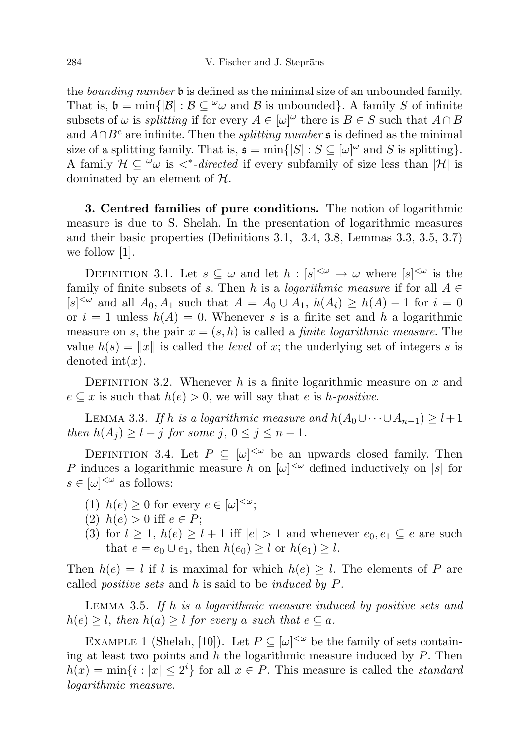the *bounding number* **b** is defined as the minimal size of an unbounded family. That is,  $\mathfrak{b} = \min\{|\mathcal{B}| : \mathcal{B} \subseteq \omega \omega \text{ and } \mathcal{B} \text{ is unbounded}\}\.$  A family S of infinite subsets of  $\omega$  is *splitting* if for every  $A \in [\omega]^{\omega}$  there is  $B \in S$  such that  $A \cap B$ and  $A \cap B^c$  are infinite. Then the *splitting number* s is defined as the minimal size of a splitting family. That is,  $\mathfrak{s} = \min\{|S| : S \subseteq [\omega]^\omega \text{ and } S \text{ is splitting}\}.$ A family  $\mathcal{H} \subseteq \omega$  is  $\lt^*$ -directed if every subfamily of size less than  $|\mathcal{H}|$  is dominated by an element of  $H$ .

3. Centred families of pure conditions. The notion of logarithmic measure is due to S. Shelah. In the presentation of logarithmic measures and their basic properties (Definitions 3.1, 3.4, 3.8, Lemmas 3.3, 3.5, 3.7) we follow [1].

DEFINITION 3.1. Let  $s \subseteq \omega$  and let  $h : [s]^{<\omega} \to \omega$  where  $[s]^{<\omega}$  is the family of finite subsets of s. Then h is a *logarithmic measure* if for all  $A \in$  $[s]^{<\omega}$  and all  $A_0, A_1$  such that  $A = A_0 \cup A_1$ ,  $h(A_i) \ge h(A) - 1$  for  $i = 0$ or  $i = 1$  unless  $h(A) = 0$ . Whenever s is a finite set and h a logarithmic measure on s, the pair  $x = (s, h)$  is called a *finite logarithmic measure*. The value  $h(s) = ||x||$  is called the *level* of x; the underlying set of integers s is denoted  $\mathrm{int}(x)$ .

DEFINITION 3.2. Whenever  $h$  is a finite logarithmic measure on  $x$  and  $e \subseteq x$  is such that  $h(e) > 0$ , we will say that e is h-positive.

LEMMA 3.3. If h is a logarithmic measure and  $h(A_0 \cup \cdots \cup A_{n-1}) \geq l+1$ then  $h(A_i) \geq l - j$  for some  $j, 0 \leq j \leq n - 1$ .

DEFINITION 3.4. Let  $P \subseteq [\omega]^{<\omega}$  be an upwards closed family. Then P induces a logarithmic measure h on  $[\omega]^{<\omega}$  defined inductively on |s| for  $s \in [\omega]^{<\omega}$  as follows:

- (1)  $h(e) \geq 0$  for every  $e \in [\omega]^{<\omega}$ ;
- (2)  $h(e) > 0$  iff  $e \in P$ ;
- (3) for  $l \geq 1$ ,  $h(e) \geq l+1$  iff  $|e| > 1$  and whenever  $e_0, e_1 \subseteq e$  are such that  $e = e_0 \cup e_1$ , then  $h(e_0) \geq l$  or  $h(e_1) \geq l$ .

Then  $h(e) = l$  if l is maximal for which  $h(e) \geq l$ . The elements of P are called *positive sets* and  $h$  is said to be *induced by P*.

LEMMA 3.5. If h is a logarithmic measure induced by positive sets and  $h(e) \geq l$ , then  $h(a) \geq l$  for every a such that  $e \subseteq a$ .

EXAMPLE 1 (Shelah, [10]). Let  $P \subseteq [\omega]^{<\omega}$  be the family of sets containing at least two points and h the logarithmic measure induced by  $P$ . Then  $h(x) = \min\{i : |x| \leq 2^i\}$  for all  $x \in P$ . This measure is called the *standard* logarithmic measure.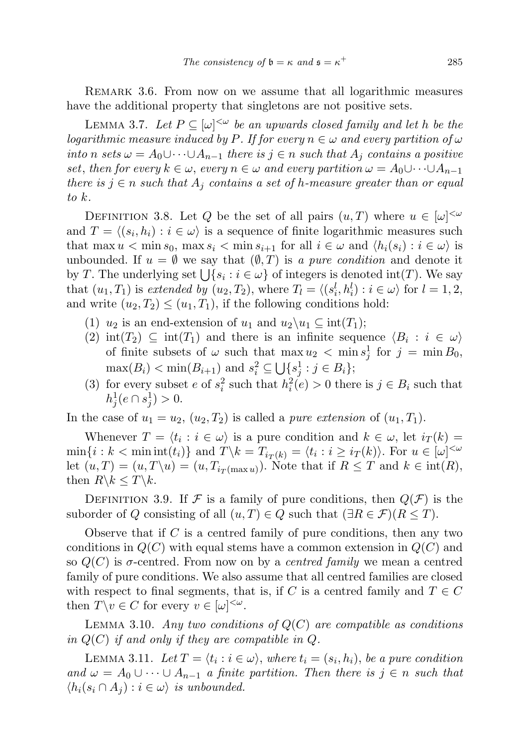REMARK 3.6. From now on we assume that all logarithmic measures have the additional property that singletons are not positive sets.

LEMMA 3.7. Let  $P \subseteq [\omega]^{<\omega}$  be an upwards closed family and let h be the logarithmic measure induced by P. If for every  $n \in \omega$  and every partition of  $\omega$ into n sets  $\omega = A_0 \cup \cdots \cup A_{n-1}$  there is  $j \in n$  such that  $A_j$  contains a positive set, then for every  $k \in \omega$ , every  $n \in \omega$  and every partition  $\omega = A_0 \cup \cdots \cup A_{n-1}$ there is  $j \in n$  such that  $A_j$  contains a set of h-measure greater than or equal to k.

DEFINITION 3.8. Let Q be the set of all pairs  $(u, T)$  where  $u \in [\omega]^{<\omega}$ and  $T = \langle (s_i, h_i) : i \in \omega \rangle$  is a sequence of finite logarithmic measures such that max  $u < \min s_0$ , max  $s_i < \min s_{i+1}$  for all  $i \in \omega$  and  $\langle h_i(s_i) : i \in \omega \rangle$  is unbounded. If  $u = \emptyset$  we say that  $(\emptyset, T)$  is a pure condition and denote it by T. The underlying set  $\bigcup \{s_i : i \in \omega\}$  of integers is denoted int(T). We say that  $(u_1, T_1)$  is extended by  $(u_2, T_2)$ , where  $T_l = \langle (s_i^l, h_i^l) : i \in \omega \rangle$  for  $l = 1, 2$ , and write  $(u_2, T_2) \leq (u_1, T_1)$ , if the following conditions hold:

- (1)  $u_2$  is an end-extension of  $u_1$  and  $u_2\backslash u_1 \subseteq \text{int}(T_1);$
- (2)  $\text{int}(T_2) \subseteq \text{int}(T_1)$  and there is an infinite sequence  $\langle B_i : i \in \omega \rangle$ of finite subsets of  $\omega$  such that  $\max u_2 < \min s_j^1$  for  $j = \min B_0$ ,  $\max(B_i) < \min(B_{i+1})$  and  $s_i^2 \subseteq \bigcup \{s_j^1 : j \in B_i\};$
- (3) for every subset e of  $s_i^2$  such that  $h_i^2(e) > 0$  there is  $j \in B_i$  such that  $h_j^1(e \cap s_j^1) > 0.$

In the case of  $u_1 = u_2$ ,  $(u_2, T_2)$  is called a *pure extension* of  $(u_1, T_1)$ .

Whenever  $T = \langle t_i : i \in \omega \rangle$  is a pure condition and  $k \in \omega$ , let  $i_T(k) =$  $\min\{i : k < \min\inf(t_i)\}\$ and  $T\backslash k = T_{i_T(k)} = \langle t_i : i \geq i_T(k) \rangle$ . For  $u \in [\omega]^{<\omega}$ let  $(u, T) = (u, T \setminus u) = (u, T_{i_T(\max u)})$ . Note that if  $R \leq T$  and  $k \in \text{int}(R)$ , then  $R \backslash k \leq T \backslash k$ .

DEFINITION 3.9. If F is a family of pure conditions, then  $Q(\mathcal{F})$  is the suborder of Q consisting of all  $(u, T) \in Q$  such that  $(\exists R \in \mathcal{F}) (R \leq T)$ .

Observe that if  $C$  is a centred family of pure conditions, then any two conditions in  $Q(C)$  with equal stems have a common extension in  $Q(C)$  and so  $Q(C)$  is  $\sigma$ -centred. From now on by a *centred family* we mean a centred family of pure conditions. We also assume that all centred families are closed with respect to final segments, that is, if C is a centred family and  $T \in C$ then  $T \backslash v \in C$  for every  $v \in [\omega]^{<\omega}$ .

LEMMA 3.10. Any two conditions of  $Q(C)$  are compatible as conditions in  $Q(C)$  if and only if they are compatible in  $Q$ .

LEMMA 3.11. Let  $T = \langle t_i : i \in \omega \rangle$ , where  $t_i = (s_i, h_i)$ , be a pure condition and  $\omega = A_0 \cup \cdots \cup A_{n-1}$  a finite partition. Then there is  $j \in n$  such that  $\langle h_i(s_i \cap A_j) : i \in \omega \rangle$  is unbounded.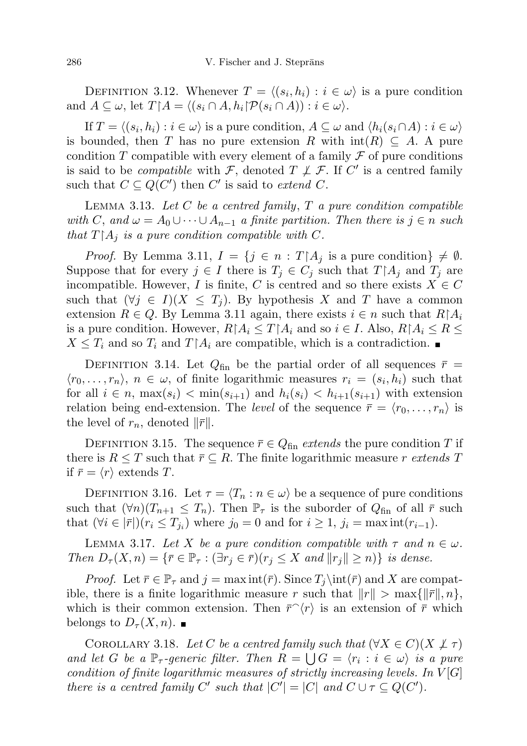DEFINITION 3.12. Whenever  $T = \langle (s_i, h_i) : i \in \omega \rangle$  is a pure condition and  $A \subseteq \omega$ , let  $T \upharpoonright A = \langle (s_i \cap A, h_i | \mathcal{P}(s_i \cap A)) : i \in \omega \rangle$ .

If  $T = \langle (s_i, h_i) : i \in \omega \rangle$  is a pure condition,  $A \subseteq \omega$  and  $\langle h_i(s_i \cap A) : i \in \omega \rangle$ is bounded, then T has no pure extension R with  $\text{int}(R) \subseteq A$ . A pure condition T compatible with every element of a family  $\mathcal F$  of pure conditions is said to be *compatible* with  $\mathcal{F}$ , denoted  $T \not\perp \mathcal{F}$ . If C' is a centred family such that  $C \subseteq Q(C')$  then C' is said to extend C.

LEMMA 3.13. Let  $C$  be a centred family,  $T$  a pure condition compatible with C, and  $\omega = A_0 \cup \cdots \cup A_{n-1}$  a finite partition. Then there is  $j \in n$  such that  $T[A_i]$  is a pure condition compatible with C.

*Proof.* By Lemma 3.11,  $I = \{j \in n : T | A_j \text{ is a pure condition}\}\neq \emptyset$ . Suppose that for every  $j \in I$  there is  $T_j \in C_j$  such that  $T \upharpoonright A_j$  and  $T_j$  are incompatible. However, I is finite, C is centred and so there exists  $X \in C$ such that  $(\forall j \in I)(X \leq T_j)$ . By hypothesis X and T have a common extension  $R \in Q$ . By Lemma 3.11 again, there exists  $i \in n$  such that  $R|A_i$ is a pure condition. However,  $R[A_i \leq T] A_i$  and so  $i \in I$ . Also,  $R[A_i \leq R \leq$  $X \leq T_i$  and so  $T_i$  and  $T \upharpoonright A_i$  are compatible, which is a contradiction.

DEFINITION 3.14. Let  $Q_{fin}$  be the partial order of all sequences  $\bar{r}$  =  $\langle r_0, \ldots, r_n \rangle$ ,  $n \in \omega$ , of finite logarithmic measures  $r_i = (s_i, h_i)$  such that for all  $i \in n$ ,  $\max(s_i) < \min(s_{i+1})$  and  $h_i(s_i) < h_{i+1}(s_{i+1})$  with extension relation being end-extension. The *level* of the sequence  $\bar{r} = \langle r_0, \ldots, r_n \rangle$  is the level of  $r_n$ , denoted  $\|\bar{r}\|$ .

DEFINITION 3.15. The sequence  $\bar{r} \in Q_{fin}$  extends the pure condition T if there is  $R \leq T$  such that  $\bar{r} \subseteq R$ . The finite logarithmic measure r extends T if  $\bar{r} = \langle r \rangle$  extends T.

DEFINITION 3.16. Let  $\tau = \langle T_n : n \in \omega \rangle$  be a sequence of pure conditions such that  $(\forall n)(T_{n+1} \leq T_n)$ . Then  $\mathbb{P}_{\tau}$  is the suborder of  $Q_{fin}$  of all  $\bar{r}$  such that  $(\forall i \in |\bar{r}|)(r_i \leq T_{j_i})$  where  $j_0 = 0$  and for  $i \geq 1$ ,  $j_i = \max \inf(r_{i-1})$ .

LEMMA 3.17. Let X be a pure condition compatible with  $\tau$  and  $n \in \omega$ . Then  $D_{\tau}(X,n) = {\bar{r} \in \mathbb{P}_{\tau} : (\exists r_i \in \bar{r})(r_i \leq X \text{ and } ||r_i|| \geq n})$  is dense.

*Proof.* Let  $\overline{r} \in \mathbb{P}_{\tau}$  and  $j = \max \int_{\overline{r}} f(x) \cdot \overline{r} dx$  and X are compatible, there is a finite logarithmic measure r such that  $||r|| > \max{||r||, n}$ , which is their common extension. Then  $\bar{r}(\tau)$  is an extension of  $\bar{r}$  which belongs to  $D_\tau(X,n)$ .

COROLLARY 3.18. Let C be a centred family such that  $(\forall X \in C)(X \not\perp \tau)$ and let G be a  $\mathbb{P}_{\tau}$ -generic filter. Then  $R = \bigcup G = \langle r_i : i \in \omega \rangle$  is a pure condition of finite logarithmic measures of strictly increasing levels. In  $V[G]$ there is a centred family C' such that  $|C'| = |C|$  and  $C \cup \tau \subseteq Q(C')$ .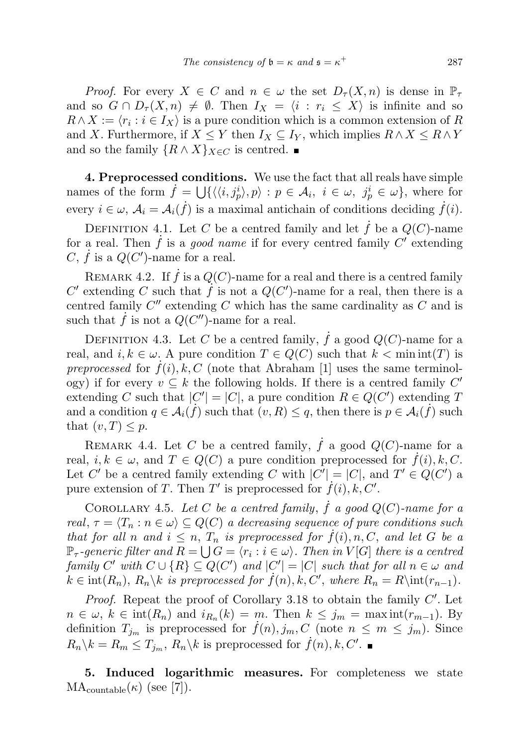*Proof.* For every  $X \in C$  and  $n \in \omega$  the set  $D_{\tau}(X,n)$  is dense in  $\mathbb{P}_{\tau}$ and so  $G \cap D_{\tau}(X,n) \neq \emptyset$ . Then  $I_X = \langle i : r_i \leq X \rangle$  is infinite and so  $R \wedge X := \langle r_i : i \in I_X \rangle$  is a pure condition which is a common extension of R and X. Furthermore, if  $X \leq Y$  then  $I_X \subseteq I_Y$ , which implies  $R \wedge X \leq R \wedge Y$ and so the family  $\{R \wedge X\}_{X \in C}$  is centred.  $\blacksquare$ 

4. Preprocessed conditions. We use the fact that all reals have simple names of the form  $\dot{f} = \bigcup \{ \langle \langle i, j_p^i \rangle, p \rangle : p \in \mathcal{A}_i, i \in \omega, j_p^i \in \omega \},\$  where for every  $i \in \omega$ ,  $\mathcal{A}_i = \mathcal{A}_i(\dot{f})$  is a maximal antichain of conditions deciding  $\dot{f}(i)$ .

DEFINITION 4.1. Let C be a centred family and let f be a  $Q(C)$ -name for a real. Then  $\dot{f}$  is a good name if for every centred family  $C'$  extending C,  $\dot{f}$  is a  $Q(C')$ -name for a real.

REMARK 4.2. If  $\dot{f}$  is a  $Q(C)$ -name for a real and there is a centred family C' extending C such that  $\hat{f}$  is not a  $Q(C')$ -name for a real, then there is a centred family  $C''$  extending  $C$  which has the same cardinality as  $C$  and is such that  $\dot{f}$  is not a  $Q(C'')$ -name for a real.

DEFINITION 4.3. Let C be a centred family,  $\dot{f}$  a good  $Q(C)$ -name for a real, and  $i, k \in \omega$ . A pure condition  $T \in Q(C)$  such that  $k < \min \inf(T)$  is preprocessed for  $f(i), k, C$  (note that Abraham [1] uses the same terminology) if for every  $v \subseteq k$  the following holds. If there is a centred family  $C'$ extending C such that  $|C'| = |C|$ , a pure condition  $R \in Q(C')$  extending T and a condition  $q \in \mathcal{A}_i(f)$  such that  $(v, R) \leq q$ , then there is  $p \in \mathcal{A}_i(f)$  such that  $(v, T) \leq p$ .

REMARK 4.4. Let C be a centred family,  $\dot{f}$  a good  $Q(C)$ -name for a real,  $i, k \in \omega$ , and  $T \in Q(C)$  a pure condition preprocessed for  $f(i), k, C$ . Let C' be a centred family extending C with  $|C'| = |C|$ , and  $T' \in Q(C')$  a pure extension of T. Then T' is preprocessed for  $\dot{f}(i)$ ,  $k, C'$ .

COROLLARY 4.5. Let C be a centred family,  $\dot{f}$  a good  $Q(C)$ -name for a real,  $\tau = \langle T_n : n \in \omega \rangle \subseteq Q(C)$  a decreasing sequence of pure conditions such that for all n and  $i \leq n$ ,  $T_n$  is preprocessed for  $f(i)$ , n, C, and let G be a  $\mathbb{P}_{\tau}$ -generic filter and  $R = \bigcup G = \langle r_i : i \in \omega \rangle$ . Then in  $V[G]$  there is a centred family C' with  $C \cup \{R\} \subseteq Q(C')$  and  $|C'| = |C|$  such that for all  $n \in \omega$  and  $k \in \text{int}(R_n)$ ,  $R_n \backslash k$  is preprocessed for  $\dot{f}(n)$ ,  $k, C'$ , where  $R_n = R \cdot \text{int}(r_{n-1})$ .

Proof. Repeat the proof of Corollary 3.18 to obtain the family  $C'$ . Let  $n \in \omega, k \in \text{int}(R_n)$  and  $i_{R_n}(k) = m$ . Then  $k \leq j_m = \max \text{int}(r_{m-1})$ . By definition  $T_{j_m}$  is preprocessed for  $f(n), j_m, C$  (note  $n \leq m \leq j_m$ ). Since  $R_n \backslash k = R_m \le T_{j_m}, R_n \backslash k$  is preprocessed for  $\dot{f}(n), k, C'.$ 

5. Induced logarithmic measures. For completeness we state  $MA_{countable}(\kappa)$  (see [7]).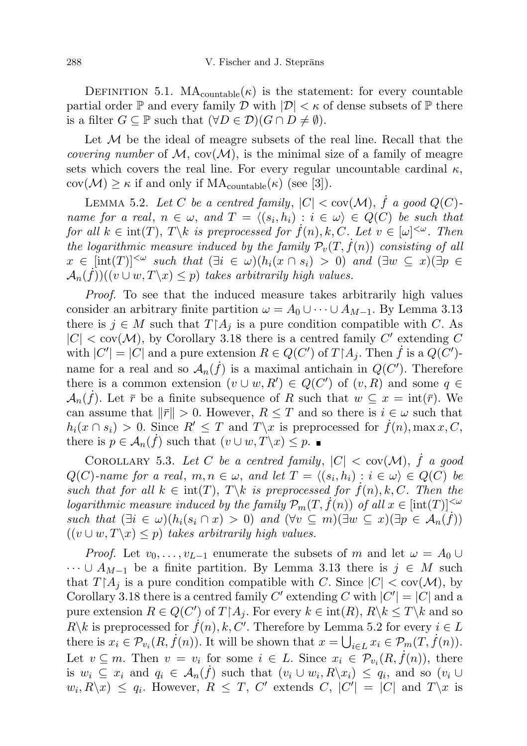DEFINITION 5.1.  $MA_{countable}(\kappa)$  is the statement: for every countable partial order  $\mathbb P$  and every family  $\mathcal D$  with  $|\mathcal D| < \kappa$  of dense subsets of  $\mathbb P$  there is a filter  $G \subseteq \mathbb{P}$  such that  $(\forall D \in \mathcal{D})(G \cap D \neq \emptyset)$ .

Let  $M$  be the ideal of meagre subsets of the real line. Recall that the *covering number* of  $M$ ,  $cov(M)$ , is the minimal size of a family of meagre sets which covers the real line. For every regular uncountable cardinal  $\kappa$ ,  $cov(\mathcal{M}) \geq \kappa$  if and only if  $MA_{countable}(\kappa)$  (see [3]).

LEMMA 5.2. Let C be a centred family,  $|C| < \text{cov}(\mathcal{M})$ ,  $\dot{f}$  a good  $Q(C)$ name for a real,  $n \in \omega$ , and  $T = \langle (s_i, h_i) : i \in \omega \rangle \in Q(C)$  be such that for all  $k \in \text{int}(T)$ ,  $T \backslash k$  is preprocessed for  $\dot{f}(n)$ , k, C. Let  $v \in [\omega]^{<\omega}$ . Then the logarithmic measure induced by the family  $\mathcal{P}_v(T, f(n))$  consisting of all  $x \in \text{int}(T)^{|\leq \omega}$  such that  $(\exists i \in \omega)(h_i(x \cap s_i) > 0)$  and  $(\exists w \subseteq x)(\exists p \in \Omega)$  $\mathcal{A}_n(\tilde{f})((v \cup w, T \setminus x) \leq p)$  takes arbitrarily high values.

Proof. To see that the induced measure takes arbitrarily high values consider an arbitrary finite partition  $\omega = A_0 \cup \cdots \cup A_{M-1}$ . By Lemma 3.13 there is  $j \in M$  such that  $T[A_j]$  is a pure condition compatible with C. As  $|C| < \text{cov}(\mathcal{M})$ , by Corollary 3.18 there is a centred family C' extending C with  $|C'| = |C|$  and a pure extension  $R \in Q(C')$  of  $T \upharpoonright A_j$ . Then  $\dot{f}$  is a  $Q(C')$ name for a real and so  $\mathcal{A}_n(\dot{f})$  is a maximal antichain in  $Q(C')$ . Therefore there is a common extension  $(v \cup w, R') \in Q(C')$  of  $(v, R)$  and some  $q \in$  $\mathcal{A}_n(\dot{f})$ . Let  $\bar{r}$  be a finite subsequence of R such that  $w \subseteq x = \text{int}(\bar{r})$ . We can assume that  $\|\bar{r}\| > 0$ . However,  $R \leq T$  and so there is  $i \in \omega$  such that  $h_i(x \cap s_i) > 0$ . Since  $R' \leq T$  and  $T\{x \text{ is preprocessed for } f(n), \max x, C$ , there is  $p \in \mathcal{A}_n(\dot{f})$  such that  $(v \cup w, T \backslash x) \leq p$ .

COROLLARY 5.3. Let C be a centred family,  $|C| < \text{cov}(\mathcal{M})$ , f a good  $Q(C)$ -name for a real,  $m, n \in \omega$ , and let  $T = \langle (s_i, h_i) : i \in \omega \rangle \in Q(C)$  be such that for all  $k \in \text{int}(T)$ ,  $T \backslash k$  is preprocessed for  $f(n)$ , k, C. Then the logarithmic measure induced by the family  $\mathcal{P}_m(T, f(n))$  of all  $x \in \text{int}(T)^{|\leq \omega|}$ such that  $(\exists i \in \omega)(h_i(s_i \cap x) > 0)$  and  $(\forall v \subseteq m)(\exists w \subseteq x)(\exists p \in \mathcal{A}_n(f))$  $((v \cup w, T \backslash x) \leq p)$  takes arbitrarily high values.

*Proof.* Let  $v_0, \ldots, v_{L-1}$  enumerate the subsets of m and let  $\omega = A_0 \cup$  $\cdots \cup A_{M-1}$  be a finite partition. By Lemma 3.13 there is  $j \in M$  such that  $T[A_i]$  is a pure condition compatible with C. Since  $|C| < \text{cov}(\mathcal{M})$ , by Corollary 3.18 there is a centred family C' extending C with  $|C'| = |C|$  and a pure extension  $R \in Q(C')$  of  $T \upharpoonright A_j$ . For every  $k \in \text{int}(R)$ ,  $R \setminus k \leq T \setminus k$  and so  $R\backslash k$  is preprocessed for  $\dot{f}(n)$ ,  $k, C'$ . Therefore by Lemma 5.2 for every  $i \in L$ there is  $x_i \in \mathcal{P}_{v_i}(R, \dot{f}(n))$ . It will be shown that  $x = \bigcup_{i \in L} x_i \in \mathcal{P}_m(T, \dot{f}(n))$ . Let  $v \subseteq m$ . Then  $v = v_i$  for some  $i \in L$ . Since  $x_i \in \mathcal{P}_{v_i}(R, \dot{f}(n))$ , there is  $w_i \subseteq x_i$  and  $q_i \in \mathcal{A}_n(\dot{f})$  such that  $(v_i \cup w_i, R \setminus x_i) \leq q_i$ , and so  $(v_i \cup$  $w_i, R \setminus x) \leq q_i$ . However,  $R \leq T$ ,  $C'$  extends  $C$ ,  $|C'| = |C|$  and  $T \setminus x$  is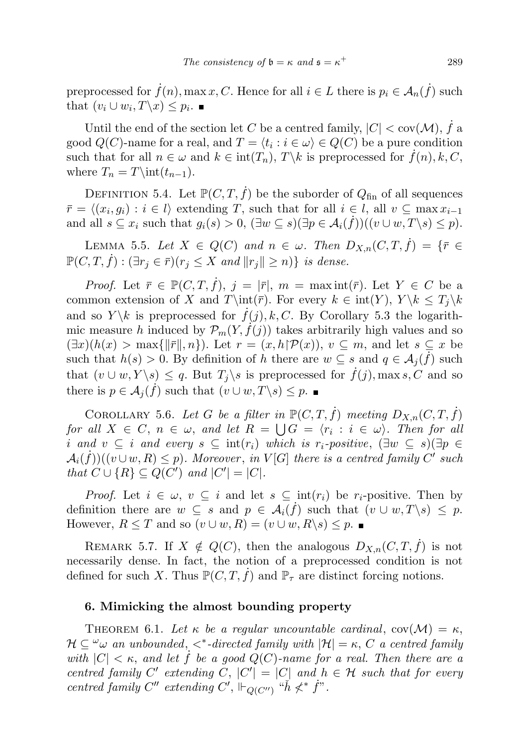preprocessed for  $\dot{f}(n)$ , max x, C. Hence for all  $i \in L$  there is  $p_i \in A_n(\dot{f})$  such that  $(v_i \cup w_i, T \setminus x) \leq p_i$ .

Until the end of the section let C be a centred family,  $|C| < \text{cov}(\mathcal{M})$ ,  $\dot{f}$  a good  $Q(C)$ -name for a real, and  $T = \langle t_i : i \in \omega \rangle \in Q(C)$  be a pure condition such that for all  $n \in \omega$  and  $k \in \text{int}(T_n)$ ,  $T \backslash k$  is preprocessed for  $f(n), k, C$ , where  $T_n = T\int_{t_{n-1}}$ .

DEFINITION 5.4. Let  $\mathbb{P}(C, T, f)$  be the suborder of  $Q_{fin}$  of all sequences  $\bar{r} = \langle (x_i, g_i) : i \in l \rangle$  extending T, such that for all  $i \in l$ , all  $v \subseteq \max x_{i-1}$ and all  $s \subseteq x_i$  such that  $g_i(s) > 0$ ,  $(\exists w \subseteq s)(\exists p \in \mathcal{A}_i(f))((v \cup w, T \setminus s) \leq p)$ .

LEMMA 5.5. Let  $X \in Q(C)$  and  $n \in \omega$ . Then  $D_{X,n}(C,T,\dot{f}) = \{\bar{r} \in$  $\mathbb{P}(C, T, \dot{f}) : (\exists r_i \in \overline{r})(r_i \leq X \text{ and } ||r_i|| \geq n)$  is dense.

*Proof.* Let  $\bar{r} \in \mathbb{P}(C, T, \dot{f}), j = |\bar{r}|, m = \max_{\bar{r}} \inf_{\bar{r}}(\bar{r}).$  Let  $Y \in C$  be a common extension of X and  $T\int(\bar{r})$ . For every  $k \in \text{int}(Y)$ ,  $Y \setminus k \leq T_i \setminus k$ and so  $Y \backslash k$  is preprocessed for  $f(j), k, C$ . By Corollary 5.3 the logarithmic measure h induced by  $\mathcal{P}_m(Y, \dot{f}(j))$  takes arbitrarily high values and so  $(\exists x)(h(x) > \max{\{\Vert \bar{r} \Vert, n\}}).$  Let  $r = (x, h)\mathcal{P}(x)$ ,  $v \subseteq m$ , and let  $s \subseteq x$  be such that  $h(s) > 0$ . By definition of h there are  $w \subseteq s$  and  $q \in \mathcal{A}_j(f)$  such that  $(v \cup w, Y \setminus s) \leq q$ . But  $T_i \setminus s$  is preprocessed for  $\dot{f}(j)$ , max s, C and so there is  $p \in \mathcal{A}_j(\dot{f})$  such that  $(v \cup w, T \setminus s) \leq p$ .

COROLLARY 5.6. Let G be a filter in  $\mathbb{P}(C, T, \dot{f})$  meeting  $D_{X,n}(C, T, \dot{f})$ for all  $X \in C$ ,  $n \in \omega$ , and let  $R = \bigcup G = \langle r_i : i \in \omega \rangle$ . Then for all i and  $v \subseteq i$  and every  $s \subseteq \text{int}(r_i)$  which is  $r_i$ -positive,  $(\exists w \subseteq s)(\exists p \in$  $\mathcal{A}_i(\dot{f}))((v \cup w, R) \leq p)$ . Moreover, in  $V[G]$  there is a centred family  $\dot{C}'$  such that  $C \cup \{R\} \subseteq Q(C')$  and  $|C'| = |C|$ .

*Proof.* Let  $i \in \omega$ ,  $v \subseteq i$  and let  $s \subseteq \text{int}(r_i)$  be  $r_i$ -positive. Then by definition there are  $w \subseteq s$  and  $p \in \mathcal{A}_i(f)$  such that  $(v \cup w, T \setminus s) \leq p$ . However,  $R \leq T$  and so  $(v \cup w, R) = (v \cup w, R \backslash s) \leq p$ .

REMARK 5.7. If  $X \notin Q(C)$ , then the analogous  $D_{X,n}(C,T,\dot{f})$  is not necessarily dense. In fact, the notion of a preprocessed condition is not defined for such X. Thus  $\mathbb{P}(C, T, \dot{f})$  and  $\mathbb{P}_{\tau}$  are distinct forcing notions.

## 6. Mimicking the almost bounding property

THEOREM 6.1. Let  $\kappa$  be a regular uncountable cardinal,  $cov(\mathcal{M}) = \kappa$ ,  $\mathcal{H} \subseteq \mathcal{H} \omega$  an unbounded,  $\lt^*$ -directed family with  $|\mathcal{H}| = \kappa$ , C a centred family with  $|C| < \kappa$ , and let f be a good  $Q(C)$ -name for a real. Then there are a centred family C' extending C,  $|C'| = |C|$  and  $h \in H$  such that for every centred family  $C''$  extending  $C'$ ,  $\Vdash_{Q(C'')}$  " $\check{h} \nless^* \check{f}$ ".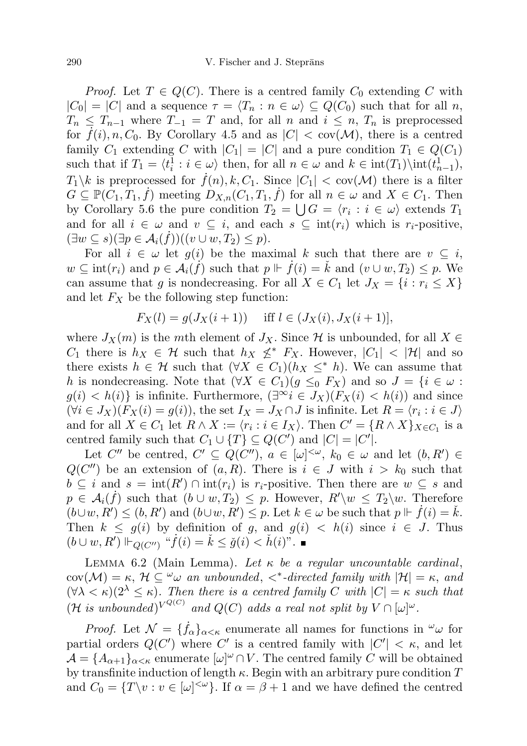*Proof.* Let  $T \in Q(C)$ . There is a centred family  $C_0$  extending C with  $|C_0| = |C|$  and a sequence  $\tau = \langle T_n : n \in \omega \rangle \subseteq Q(C_0)$  such that for all n,  $T_n \leq T_{n-1}$  where  $T_{-1} = T$  and, for all n and  $i \leq n$ ,  $T_n$  is preprocessed for  $f(i), n, C_0$ . By Corollary 4.5 and as  $|C| < \text{cov}(\mathcal{M})$ , there is a centred family  $C_1$  extending C with  $|C_1| = |C|$  and a pure condition  $T_1 \in Q(C_1)$ such that if  $T_1 = \langle t_i^1 : i \in \omega \rangle$  then, for all  $n \in \omega$  and  $k \in \text{int}(T_1) \setminus \text{int}(t_{n-1}^1)$ ,  $T_1 \backslash k$  is preprocessed for  $\dot{f}(n), k, C_1$ . Since  $|C_1| < \text{cov}(\mathcal{M})$  there is a filter  $G \subseteq \mathbb{P}(\tilde{C}_1, T_1, \dot{f})$  meeting  $D_{X,n}(C_1, T_1, \dot{f})$  for all  $n \in \omega$  and  $X \in C_1$ . Then by Corollary 5.6 the pure condition  $T_2 = \bigcup G = \langle r_i : i \in \omega \rangle$  extends  $T_1$ and for all  $i \in \omega$  and  $v \subseteq i$ , and each  $s \subseteq \text{int}(r_i)$  which is  $r_i$ -positive,  $(\exists w \subseteq s)(\exists p \in \mathcal{A}_i(f))((v \cup w, T_2) \leq p).$ 

For all  $i \in \omega$  let  $g(i)$  be the maximal k such that there are  $v \subseteq i$ ,  $w \subseteq \text{int}(r_i)$  and  $p \in \mathcal{A}_i(f)$  such that  $p \Vdash \dot{f}(i) = \check{k}$  and  $(v \cup w, T_2) \leq p$ . We can assume that g is nondecreasing. For all  $X \in C_1$  let  $J_X = \{i : r_i \leq X\}$ and let  $F_X$  be the following step function:

$$
F_X(l) = g(J_X(i+1)) \quad \text{ iff } l \in (J_X(i), J_X(i+1)],
$$

where  $J_X(m)$  is the mth element of  $J_X$ . Since H is unbounded, for all  $X \in$  $C_1$  there is  $h_X \in \mathcal{H}$  such that  $h_X \nleq^* F_X$ . However,  $|C_1| < |\mathcal{H}|$  and so there exists  $h \in \mathcal{H}$  such that  $(\forall X \in C_1)(h_X \leq^* h)$ . We can assume that h is nondecreasing. Note that  $(\forall X \in C_1)(g \leq_0 F_X)$  and so  $J = \{i \in \omega :$  $g(i) < h(i)$  is infinite. Furthermore,  $(\exists^\infty i \in J_X)(F_X(i) < h(i))$  and since  $(\forall i \in J_X)(F_X(i) = g(i)),$  the set  $I_X = J_X \cap J$  is infinite. Let  $R = \langle r_i : i \in J \rangle$ and for all  $X \in C_1$  let  $R \wedge X := \langle r_i : i \in I_X \rangle$ . Then  $C' = \{R \wedge X\}_{X \in C_1}$  is a centred family such that  $C_1 \cup \{T\} \subseteq Q(C')$  and  $|C| = |C'|$ .

Let C'' be centred,  $C' \subseteq Q(C'')$ ,  $a \in [\omega]^{<\omega}$ ,  $k_0 \in \omega$  and let  $(b, R') \in$  $Q(C'')$  be an extension of  $(a, R)$ . There is  $i \in J$  with  $i > k_0$  such that  $b \subseteq i$  and  $s = \text{int}(R') \cap \text{int}(r_i)$  is  $r_i$ -positive. Then there are  $w \subseteq s$  and  $p \in \mathcal{A}_i(\dot{f})$  such that  $(b \cup w, T_2) \leq p$ . However,  $R' \setminus w \leq T_2 \setminus w$ . Therefore  $($ b $\cup w, R'$  $) \leq (b, R')$  and  $(b \cup w, R') \leq p$ . Let  $k \in \omega$  be such that  $p \Vdash \dot{f}(i) = \check{k}$ . Then  $k \leq g(i)$  by definition of g, and  $g(i) < h(i)$  since  $i \in J$ . Thus  $(b \cup w, R') \Vdash_{Q(C'')} \text{``}\dot{f}(i) = \check{k} \leq \check{g}(i) < \check{h}(i)$ ".

LEMMA 6.2 (Main Lemma). Let  $\kappa$  be a regular uncountable cardinal,  $cov(\mathcal{M}) = \kappa$ ,  $\mathcal{H} \subseteq \omega$  an unbounded,  $\lt^*$ -directed family with  $|\mathcal{H}| = \kappa$ , and  $(\forall \lambda < \kappa)(2^{\lambda} \leq \kappa)$ . Then there is a centred family C with  $|C| = \kappa$  such that (H is unbounded)<sup>VQ(C)</sup> and Q(C) adds a real not split by  $V \cap [\omega]^\omega$ .

*Proof.* Let  $\mathcal{N} = \{\dot{f}_{\alpha}\}_{{\alpha} < \kappa}$  enumerate all names for functions in  $\omega_{\omega}$  for partial orders  $Q(C')$  where C' is a centred family with  $|C'| < \kappa$ , and let  $\mathcal{A} = \{A_{\alpha+1}\}_{\alpha<\kappa}$  enumerate  $[\omega]^\omega \cap V$ . The centred family C will be obtained by transfinite induction of length  $\kappa$ . Begin with an arbitrary pure condition T and  $C_0 = \{T \setminus v : v \in [\omega]^{<\omega}\}.$  If  $\alpha = \beta + 1$  and we have defined the centred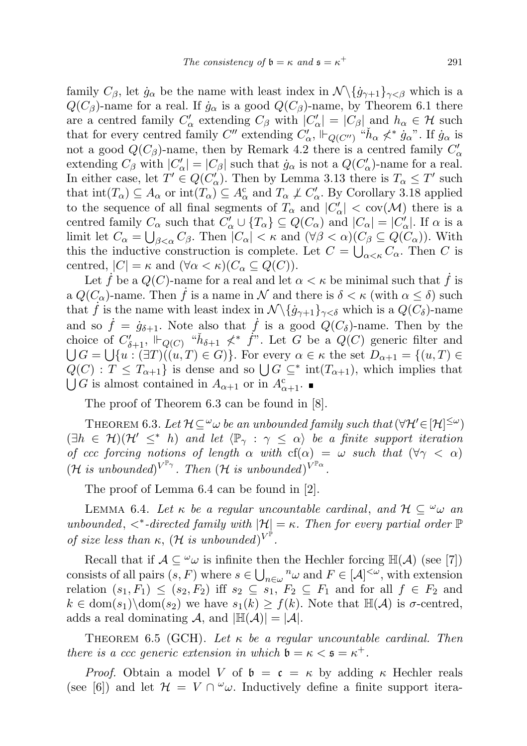family  $C_{\beta}$ , let  $\dot{g}_{\alpha}$  be the name with least index in  $\mathcal{N}\langle \{\dot{g}_{\gamma+1}\}_{\gamma<\beta}$  which is a  $Q(C_{\beta})$ -name for a real. If  $\dot{g}_{\alpha}$  is a good  $Q(C_{\beta})$ -name, by Theorem 6.1 there are a centred family  $C'_\alpha$  extending  $C_\beta$  with  $|C'_\alpha| = |C_\beta|$  and  $h_\alpha \in \mathcal{H}$  such that for every centred family C'' extending  $C'_\alpha$ ,  $\Vdash_{Q(C'')}$  " $\check{h}_\alpha \nless^* \dot{g}_\alpha$ ". If  $\dot{g}_\alpha$  is not a good  $Q(C_\beta)$ -name, then by Remark 4.2 there is a centred family  $C'_\alpha$ extending  $C_{\beta}$  with  $|C_{\alpha}'| = |C_{\beta}|$  such that  $\dot{g}_{\alpha}$  is not a  $Q(C_{\alpha}')$ -name for a real. In either case, let  $T' \in Q(C'_{\alpha})$ . Then by Lemma 3.13 there is  $T_{\alpha} \leq T'$  such that  $\text{int}(T_\alpha) \subseteq A_\alpha$  or  $\text{int}(T_\alpha) \subseteq A_\alpha^c$  and  $T_\alpha \not\perp C_\alpha'$ . By Corollary 3.18 applied to the sequence of all final segments of  $T_{\alpha}$  and  $|C'_{\alpha}| < \text{cov}(\mathcal{M})$  there is a centred family  $C_{\alpha}$  such that  $C'_{\alpha} \cup \{T_{\alpha}\} \subseteq Q(C_{\alpha})$  and  $|C_{\alpha}| = |C'_{\alpha}|$ . If  $\alpha$  is a limit let  $C_{\alpha} = \bigcup_{\beta < \alpha} C_{\beta}$ . Then  $|C_{\alpha}| < \kappa$  and  $(\forall \beta < \alpha)(C_{\beta} \subseteq Q(C_{\alpha}))$ . With this the inductive construction is complete. Let  $C = \bigcup_{\alpha < \kappa} C_{\alpha}$ . Then C is centred,  $|C| = \kappa$  and  $(\forall \alpha < \kappa)(C_\alpha \subseteq Q(C)).$ 

Let f be a  $Q(C)$ -name for a real and let  $\alpha < \kappa$  be minimal such that f is a  $Q(C_{\alpha})$ -name. Then  $\dot{f}$  is a name in  $\mathcal N$  and there is  $\delta < \kappa$  (with  $\alpha \leq \delta$ ) such that f is the name with least index in  $\mathcal{N}\setminus \{g_{\gamma+1}\}_{\gamma<\delta}$  which is a  $Q(C_{\delta})$ -name and so  $\dot{f} = \dot{g}_{\delta+1}$ . Note also that  $\dot{f}$  is a good  $Q(C_{\delta})$ -name. Then by the choice of  $C'_{\delta+1}$ ,  $\Vdash_{Q(C)}$  " $\check{h}_{\delta+1} \nless^* \check{f}$ ". Let G be a  $Q(C)$  generic filter and  $\bigcup G = \bigcup \{u : (\exists T)((u, T) \in G)\}\.$  For every  $\alpha \in \kappa$  the set  $D_{\alpha+1} = \{(u, T) \in$  $Q(C)$ :  $T \leq T_{\alpha+1}$  is dense and so  $\bigcup G \subseteq^*$  int $(T_{\alpha+1})$ , which implies that  $\bigcup G$  is almost contained in  $A_{\alpha+1}$  or in  $A_{\alpha+1}^c$ .

The proof of Theorem 6.3 can be found in [8].

THEOREM 6.3. Let  $\mathcal{H} \subseteq^{\omega} \omega$  be an unbounded family such that  $(\forall \mathcal{H}' \in [\mathcal{H}]^{\leq \omega})$  $(\exists h \in \mathcal{H})(\mathcal{H}' \leq^* h)$  and let  $\langle \mathbb{P}_{\gamma} : \gamma \leq \alpha \rangle$  be a finite support iteration of ccc forcing notions of length  $\alpha$  with cf( $\alpha$ ) =  $\omega$  such that  $(\forall \gamma < \alpha)$  $(\mathcal{H} \text{ is unbounded})^{V^{\mathbb{P}_{\gamma}}}$ . Then  $(\mathcal{H} \text{ is unbounded})^{V^{\mathbb{P}_{\alpha}}}$ .

The proof of Lemma 6.4 can be found in [2].

LEMMA 6.4. Let  $\kappa$  be a regular uncountable cardinal, and  $\mathcal{H} \subseteq \omega_{\omega}$  and unbounded,  $\langle \cdot \rangle^*$ -directed family with  $|\mathcal{H}| = \kappa$ . Then for every partial order  $\mathbb{P}$ of size less than  $\kappa$ ,  $(\mathcal{H}$  is unbounded)<sup> $V^{\mathbb{P}}$ </sup>.

Recall that if  $A \subseteq \omega$  is infinite then the Hechler forcing  $\mathbb{H}(\mathcal{A})$  (see [7]) consists of all pairs  $(s, F)$  where  $s \in \bigcup_{n \in \omega} \mathbb{R}^n \omega$  and  $F \in [\mathcal{A}]^{\leq \omega}$ , with extension relation  $(s_1, F_1) \leq (s_2, F_2)$  iff  $s_2 \subseteq s_1, F_2 \subseteq F_1$  and for all  $f \in F_2$  and  $k \in \text{dom}(s_1) \text{dom}(s_2)$  we have  $s_1(k) \geq f(k)$ . Note that  $\mathbb{H}(\mathcal{A})$  is  $\sigma$ -centred, adds a real dominating A, and  $|\mathbb{H}(\mathcal{A})| = |\mathcal{A}|$ .

THEOREM 6.5 (GCH). Let  $\kappa$  be a regular uncountable cardinal. Then there is a ccc generic extension in which  $\mathfrak{b} = \kappa < \mathfrak{s} = \kappa^+$ .

*Proof.* Obtain a model V of  $\mathfrak{b} = \mathfrak{c} = \kappa$  by adding  $\kappa$  Hechler reals (see [6]) and let  $\mathcal{H} = V \cap {}^{\omega}\omega$ . Inductively define a finite support itera-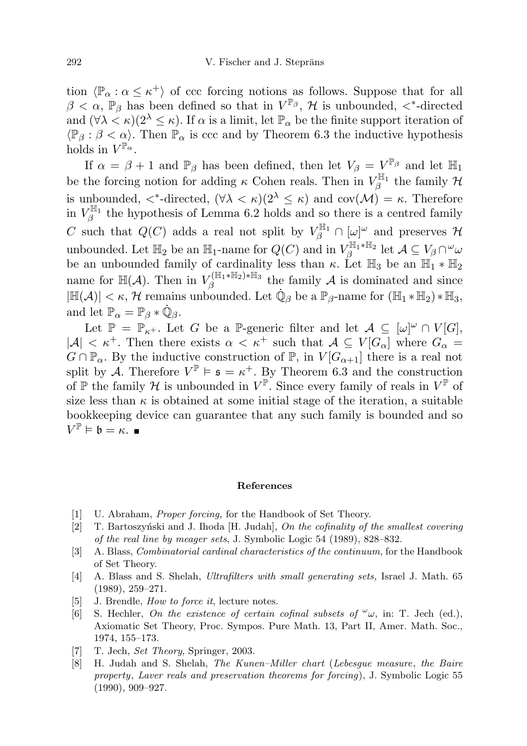tion  $\langle \mathbb{P}_{\alpha} : \alpha \leq \kappa^+ \rangle$  of ccc forcing notions as follows. Suppose that for all  $\beta < \alpha$ ,  $\mathbb{P}_{\beta}$  has been defined so that in  $V^{\mathbb{P}_{\beta}}$ , H is unbounded,  $\lt^*$ -directed and  $(\forall \lambda < \kappa)(2^{\lambda} \leq \kappa)$ . If  $\alpha$  is a limit, let  $\mathbb{P}_{\alpha}$  be the finite support iteration of  $\langle \mathbb{P}_{\beta} : \beta < \alpha \rangle$ . Then  $\mathbb{P}_{\alpha}$  is ccc and by Theorem 6.3 the inductive hypothesis holds in  $V^{\mathbb{P}'^{\alpha}}$ .

If  $\alpha = \beta + 1$  and  $\mathbb{P}_{\beta}$  has been defined, then let  $V_{\beta} = V^{\mathbb{P}_{\beta}}$  and let  $\mathbb{H}_{1}$ be the forcing notion for adding  $\kappa$  Cohen reals. Then in  $V_{\beta}^{\mathbb{H}_1}$  the family  $\mathcal H$ is unbounded,  $\langle *$ -directed,  $(\forall \lambda \leq \kappa)(2^{\lambda} \leq \kappa)$  and  $\text{cov}(\mathcal{M}) = \kappa$ . Therefore in  $V_{\beta}^{\mathbb{H}_{1}}$  the hypothesis of Lemma 6.2 holds and so there is a centred family C such that  $Q(C)$  adds a real not split by  $V_{\beta}^{\mathbb{H}_1} \cap [\omega]^{\omega}$  and preserves  $\mathcal{H}$ unbounded. Let  $\mathbb{H}_2$  be an  $\mathbb{H}_1$ -name for  $Q(C)$  and in  $V_\beta^{\mathbb{H}_1 * \mathbb{H}_2}$  let  $\mathcal{A} \subseteq V_\beta \cap \omega_\omega$ be an unbounded family of cardinality less than  $\kappa$ . Let  $\mathbb{H}_3$  be an  $\mathbb{H}_1 * \mathbb{H}_2$ name for  $\mathbb{H}(\mathcal{A})$ . Then in  $V_A^{(\mathbb{H}_1 * \mathbb{H}_2) * \mathbb{H}_3}$  $\beta^{\frac{\text{min}_{1}*\text{min}_{2}*\text{min}_{3}}{2}}$  the family A is dominated and since  $|\mathbb{H}(\mathcal{A})| < \kappa$ , H remains unbounded. Let  $\dot{\mathbb{Q}}_{\beta}$  be a  $\mathbb{P}_{\beta}$ -name for  $(\mathbb{H}_1 * \mathbb{H}_2) * \mathbb{H}_3$ , and let  $\mathbb{P}_{\alpha} = \mathbb{P}_{\beta} * \dot{\mathbb{Q}}_{\beta}$ .

Let  $\mathbb{P} = \mathbb{P}_{\kappa^+}$ . Let G be a  $\mathbb{P}$ -generic filter and let  $\mathcal{A} \subseteq [\omega]^\omega \cap V[G]$ ,  $|A| < \kappa^+$ . Then there exists  $\alpha < \kappa^+$  such that  $A \subseteq V[G_\alpha]$  where  $G_\alpha =$  $G \cap \mathbb{P}_{\alpha}$ . By the inductive construction of  $\mathbb{P}$ , in  $V[G_{\alpha+1}]$  there is a real not split by A. Therefore  $V^{\mathbb{P}} \models \mathfrak{s} = \kappa^+$ . By Theorem 6.3 and the construction of  $\mathbb P$  the family  $\mathcal H$  is unbounded in  $V^{\mathbb P}$ . Since every family of reals in  $V^{\mathbb P}$  of size less than  $\kappa$  is obtained at some initial stage of the iteration, a suitable bookkeeping device can guarantee that any such family is bounded and so  $V^{\mathbb{P}} \models \mathfrak{b} = \kappa.$ 

## References

- [1] U. Abraham, Proper forcing, for the Handbook of Set Theory.
- [2] T. Bartoszyński and J. Ihoda [H. Judah], On the cofinality of the smallest covering of the real line by meager sets, J. Symbolic Logic 54 (1989), 828–832.
- [3] A. Blass, Combinatorial cardinal characteristics of the continuum, for the Handbook of Set Theory.
- [4] A. Blass and S. Shelah, Ultrafilters with small generating sets, Israel J. Math. 65 (1989), 259–271.
- [5] J. Brendle, *How to force it*, lecture notes.
- [6] S. Hechler, On the existence of certain cofinal subsets of  $\omega_{\omega}$ , in: T. Jech (ed.), Axiomatic Set Theory, Proc. Sympos. Pure Math. 13, Part II, Amer. Math. Soc., 1974, 155–173.
- [7] T. Jech, Set Theory, Springer, 2003.
- [8] H. Judah and S. Shelah, The Kunen–Miller chart (Lebesgue measure, the Baire property, Laver reals and preservation theorems for forcing), J. Symbolic Logic 55 (1990), 909–927.